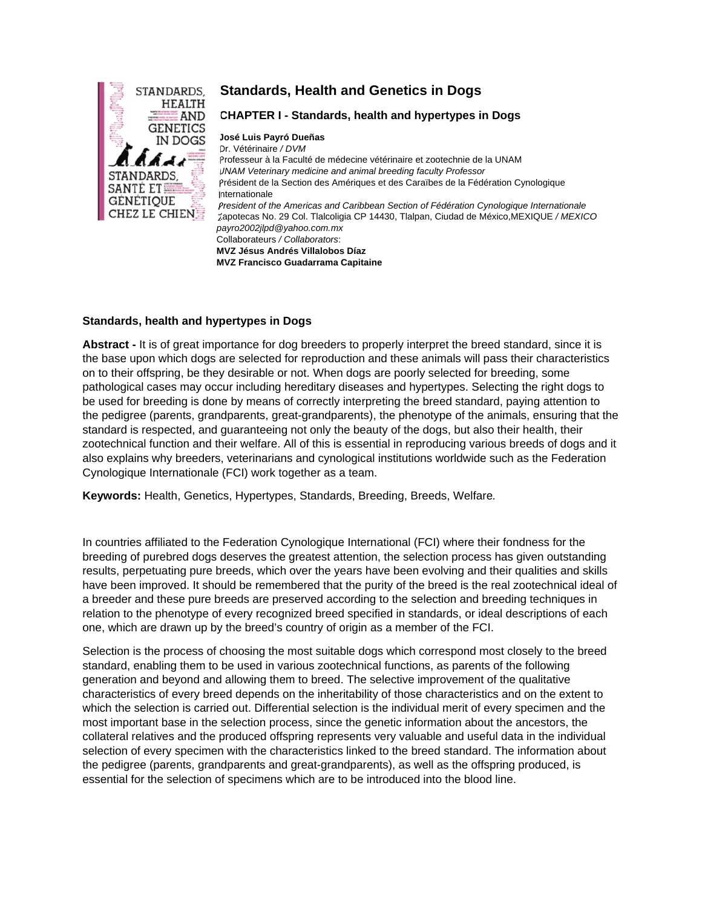

# **Standards, Health and Genetics in Dogs**

#### **CHAPTER I - Standards, health and hypertypes in Dogs**

**José Luis Payró Dueñas** Dr. Vétérinaire */ DVM* Professeur à la Faculté de médecine vétérinaire et zootechnie de la UNAM *UNAM Veterinary medicine and animal breeding faculty Professor* Président de la Section des Amériques et des Caraïbes de la Fédération Cynologique Internationale *President of the Americas and Caribbean Section of Fédération Cynologique Internationale* Zapotecas No. 29 Col. Tlalcoligia CP 14430, Tlalpan, Ciudad de México,MEXIQUE */ MEXICO payro2002jlpd@yahoo.com.mx* Collaborateurs */ Collaborators*: **MVZ Jésus Andrés Villalobos Díaz MVZ Francisco Guadarrama Capitaine** 

### **Standards, health and hypertypes in Dogs**

**Abstract -** It is of great importance for dog breeders to properly interpret the breed standard, since it is the base upon which dogs are selected for reproduction and these animals will pass their characteristics on to their offspring, be they desirable or not. When dogs are poorly selected for breeding, some pathological cases may occur including hereditary diseases and hypertypes. Selecting the right dogs to be used for breeding is done by means of correctly interpreting the breed standard, paying attention to the pedigree (parents, grandparents, great-grandparents), the phenotype of the animals, ensuring that the standard is respected, and guaranteeing not only the beauty of the dogs, but also their health, their zootechnical function and their welfare. All of this is essential in reproducing various breeds of dogs and it also explains why breeders, veterinarians and cynological institutions worldwide such as the Federation Cynologique Internationale (FCI) work together as a team.

**Keywords:** Health, Genetics, Hypertypes, Standards, Breeding, Breeds, Welfare*.* 

In countries affiliated to the Federation Cynologique International (FCI) where their fondness for the breeding of purebred dogs deserves the greatest attention, the selection process has given outstanding results, perpetuating pure breeds, which over the years have been evolving and their qualities and skills have been improved. It should be remembered that the purity of the breed is the real zootechnical ideal of a breeder and these pure breeds are preserved according to the selection and breeding techniques in relation to the phenotype of every recognized breed specified in standards, or ideal descriptions of each one, which are drawn up by the breed's country of origin as a member of the FCI.

Selection is the process of choosing the most suitable dogs which correspond most closely to the breed standard, enabling them to be used in various zootechnical functions, as parents of the following generation and beyond and allowing them to breed. The selective improvement of the qualitative characteristics of every breed depends on the inheritability of those characteristics and on the extent to which the selection is carried out. Differential selection is the individual merit of every specimen and the most important base in the selection process, since the genetic information about the ancestors, the collateral relatives and the produced offspring represents very valuable and useful data in the individual selection of every specimen with the characteristics linked to the breed standard. The information about the pedigree (parents, grandparents and great-grandparents), as well as the offspring produced, is essential for the selection of specimens which are to be introduced into the blood line.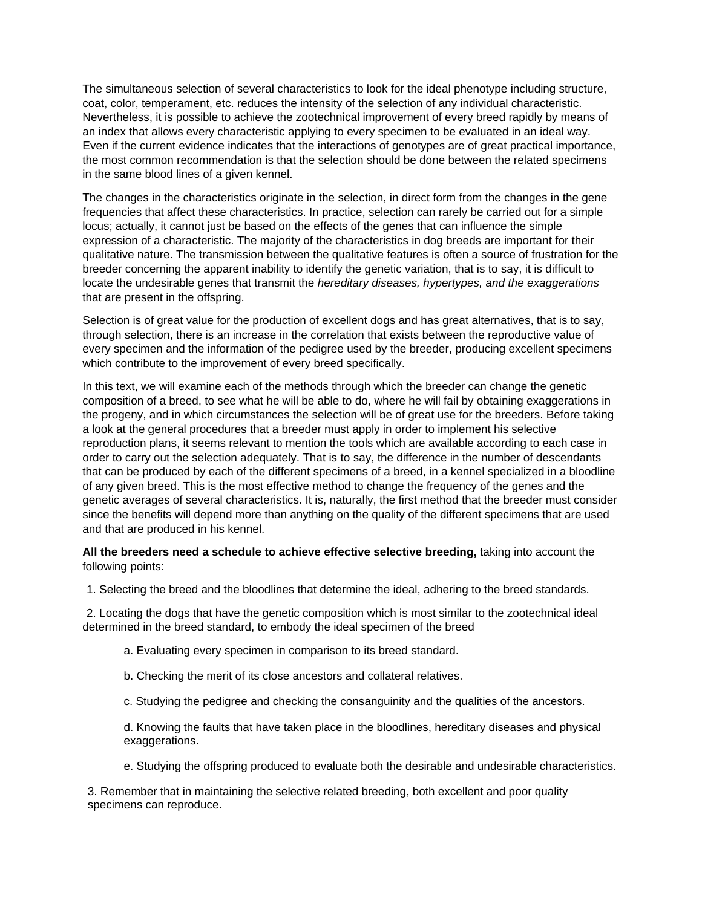The simultaneous selection of several characteristics to look for the ideal phenotype including structure, coat, color, temperament, etc. reduces the intensity of the selection of any individual characteristic. Nevertheless, it is possible to achieve the zootechnical improvement of every breed rapidly by means of an index that allows every characteristic applying to every specimen to be evaluated in an ideal way. Even if the current evidence indicates that the interactions of genotypes are of great practical importance, the most common recommendation is that the selection should be done between the related specimens in the same blood lines of a given kennel.

The changes in the characteristics originate in the selection, in direct form from the changes in the gene frequencies that affect these characteristics. In practice, selection can rarely be carried out for a simple locus; actually, it cannot just be based on the effects of the genes that can influence the simple expression of a characteristic. The majority of the characteristics in dog breeds are important for their qualitative nature. The transmission between the qualitative features is often a source of frustration for the breeder concerning the apparent inability to identify the genetic variation, that is to say, it is difficult to locate the undesirable genes that transmit the *hereditary diseases, hypertypes, and the exaggerations*  that are present in the offspring.

Selection is of great value for the production of excellent dogs and has great alternatives, that is to say, through selection, there is an increase in the correlation that exists between the reproductive value of every specimen and the information of the pedigree used by the breeder, producing excellent specimens which contribute to the improvement of every breed specifically.

In this text, we will examine each of the methods through which the breeder can change the genetic composition of a breed, to see what he will be able to do, where he will fail by obtaining exaggerations in the progeny, and in which circumstances the selection will be of great use for the breeders. Before taking a look at the general procedures that a breeder must apply in order to implement his selective reproduction plans, it seems relevant to mention the tools which are available according to each case in order to carry out the selection adequately. That is to say, the difference in the number of descendants that can be produced by each of the different specimens of a breed, in a kennel specialized in a bloodline of any given breed. This is the most effective method to change the frequency of the genes and the genetic averages of several characteristics. It is, naturally, the first method that the breeder must consider since the benefits will depend more than anything on the quality of the different specimens that are used and that are produced in his kennel.

**All the breeders need a schedule to achieve effective selective breeding,** taking into account the following points:

1. Selecting the breed and the bloodlines that determine the ideal, adhering to the breed standards.

2. Locating the dogs that have the genetic composition which is most similar to the zootechnical ideal determined in the breed standard, to embody the ideal specimen of the breed

- a. Evaluating every specimen in comparison to its breed standard.
- b. Checking the merit of its close ancestors and collateral relatives.
- c. Studying the pedigree and checking the consanguinity and the qualities of the ancestors.

 d. Knowing the faults that have taken place in the bloodlines, hereditary diseases and physical exaggerations.

e. Studying the offspring produced to evaluate both the desirable and undesirable characteristics.

 3. Remember that in maintaining the selective related breeding, both excellent and poor quality specimens can reproduce.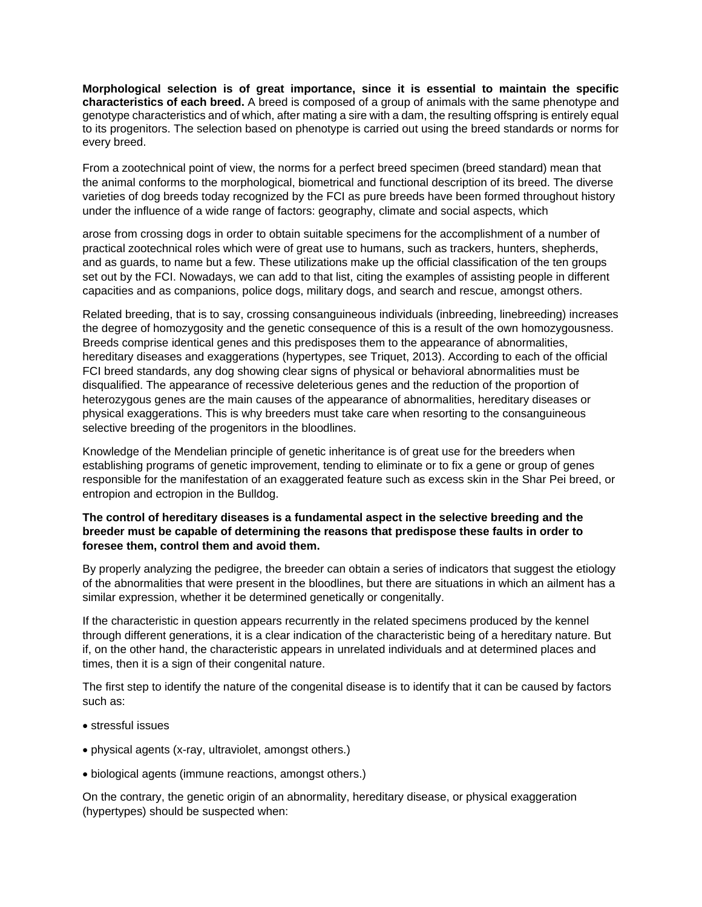**Morphological selection is of great importance, since it is essential to maintain the specific characteristics of each breed.** A breed is composed of a group of animals with the same phenotype and genotype characteristics and of which, after mating a sire with a dam, the resulting offspring is entirely equal to its progenitors. The selection based on phenotype is carried out using the breed standards or norms for every breed.

From a zootechnical point of view, the norms for a perfect breed specimen (breed standard) mean that the animal conforms to the morphological, biometrical and functional description of its breed. The diverse varieties of dog breeds today recognized by the FCI as pure breeds have been formed throughout history under the influence of a wide range of factors: geography, climate and social aspects, which

arose from crossing dogs in order to obtain suitable specimens for the accomplishment of a number of practical zootechnical roles which were of great use to humans, such as trackers, hunters, shepherds, and as guards, to name but a few. These utilizations make up the official classification of the ten groups set out by the FCI. Nowadays, we can add to that list, citing the examples of assisting people in different capacities and as companions, police dogs, military dogs, and search and rescue, amongst others.

Related breeding, that is to say, crossing consanguineous individuals (inbreeding, linebreeding) increases the degree of homozygosity and the genetic consequence of this is a result of the own homozygousness. Breeds comprise identical genes and this predisposes them to the appearance of abnormalities, hereditary diseases and exaggerations (hypertypes, see Triquet, 2013). According to each of the official FCI breed standards, any dog showing clear signs of physical or behavioral abnormalities must be disqualified. The appearance of recessive deleterious genes and the reduction of the proportion of heterozygous genes are the main causes of the appearance of abnormalities, hereditary diseases or physical exaggerations. This is why breeders must take care when resorting to the consanguineous selective breeding of the progenitors in the bloodlines.

Knowledge of the Mendelian principle of genetic inheritance is of great use for the breeders when establishing programs of genetic improvement, tending to eliminate or to fix a gene or group of genes responsible for the manifestation of an exaggerated feature such as excess skin in the Shar Pei breed, or entropion and ectropion in the Bulldog.

## **The control of hereditary diseases is a fundamental aspect in the selective breeding and the breeder must be capable of determining the reasons that predispose these faults in order to foresee them, control them and avoid them.**

By properly analyzing the pedigree, the breeder can obtain a series of indicators that suggest the etiology of the abnormalities that were present in the bloodlines, but there are situations in which an ailment has a similar expression, whether it be determined genetically or congenitally.

If the characteristic in question appears recurrently in the related specimens produced by the kennel through different generations, it is a clear indication of the characteristic being of a hereditary nature. But if, on the other hand, the characteristic appears in unrelated individuals and at determined places and times, then it is a sign of their congenital nature.

The first step to identify the nature of the congenital disease is to identify that it can be caused by factors such as:

- stressful issues
- physical agents (x-ray, ultraviolet, amongst others.)
- biological agents (immune reactions, amongst others.)

On the contrary, the genetic origin of an abnormality, hereditary disease, or physical exaggeration (hypertypes) should be suspected when: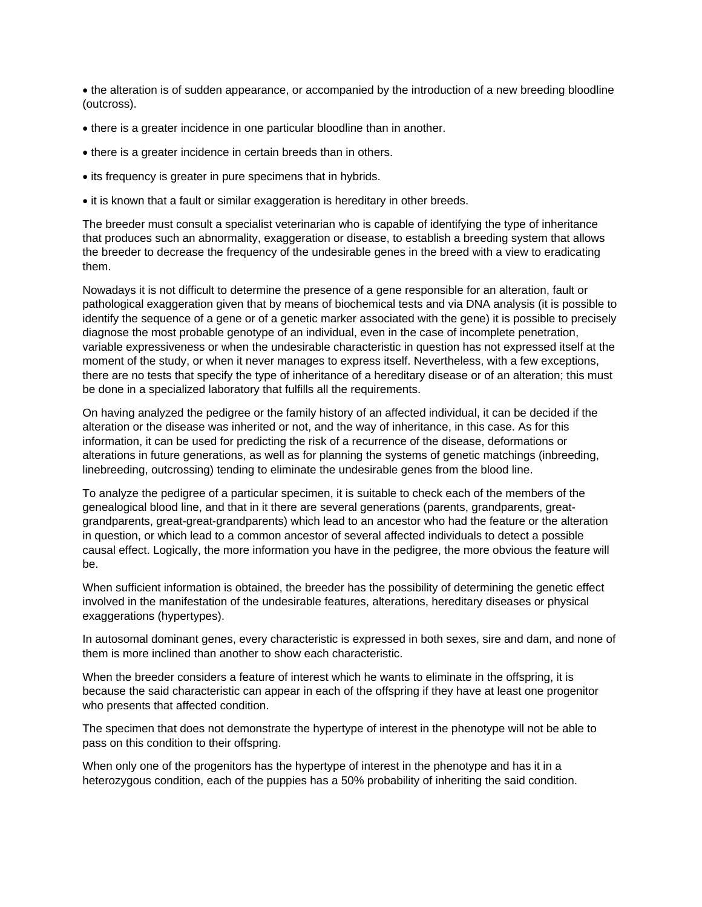• the alteration is of sudden appearance, or accompanied by the introduction of a new breeding bloodline (outcross).

- there is a greater incidence in one particular bloodline than in another.
- there is a greater incidence in certain breeds than in others.
- its frequency is greater in pure specimens that in hybrids.
- it is known that a fault or similar exaggeration is hereditary in other breeds.

The breeder must consult a specialist veterinarian who is capable of identifying the type of inheritance that produces such an abnormality, exaggeration or disease, to establish a breeding system that allows the breeder to decrease the frequency of the undesirable genes in the breed with a view to eradicating them.

Nowadays it is not difficult to determine the presence of a gene responsible for an alteration, fault or pathological exaggeration given that by means of biochemical tests and via DNA analysis (it is possible to identify the sequence of a gene or of a genetic marker associated with the gene) it is possible to precisely diagnose the most probable genotype of an individual, even in the case of incomplete penetration, variable expressiveness or when the undesirable characteristic in question has not expressed itself at the moment of the study, or when it never manages to express itself. Nevertheless, with a few exceptions, there are no tests that specify the type of inheritance of a hereditary disease or of an alteration; this must be done in a specialized laboratory that fulfills all the requirements.

On having analyzed the pedigree or the family history of an affected individual, it can be decided if the alteration or the disease was inherited or not, and the way of inheritance, in this case. As for this information, it can be used for predicting the risk of a recurrence of the disease, deformations or alterations in future generations, as well as for planning the systems of genetic matchings (inbreeding, linebreeding, outcrossing) tending to eliminate the undesirable genes from the blood line.

To analyze the pedigree of a particular specimen, it is suitable to check each of the members of the genealogical blood line, and that in it there are several generations (parents, grandparents, greatgrandparents, great-great-grandparents) which lead to an ancestor who had the feature or the alteration in question, or which lead to a common ancestor of several affected individuals to detect a possible causal effect. Logically, the more information you have in the pedigree, the more obvious the feature will be.

When sufficient information is obtained, the breeder has the possibility of determining the genetic effect involved in the manifestation of the undesirable features, alterations, hereditary diseases or physical exaggerations (hypertypes).

In autosomal dominant genes, every characteristic is expressed in both sexes, sire and dam, and none of them is more inclined than another to show each characteristic.

When the breeder considers a feature of interest which he wants to eliminate in the offspring, it is because the said characteristic can appear in each of the offspring if they have at least one progenitor who presents that affected condition.

The specimen that does not demonstrate the hypertype of interest in the phenotype will not be able to pass on this condition to their offspring.

When only one of the progenitors has the hypertype of interest in the phenotype and has it in a heterozygous condition, each of the puppies has a 50% probability of inheriting the said condition.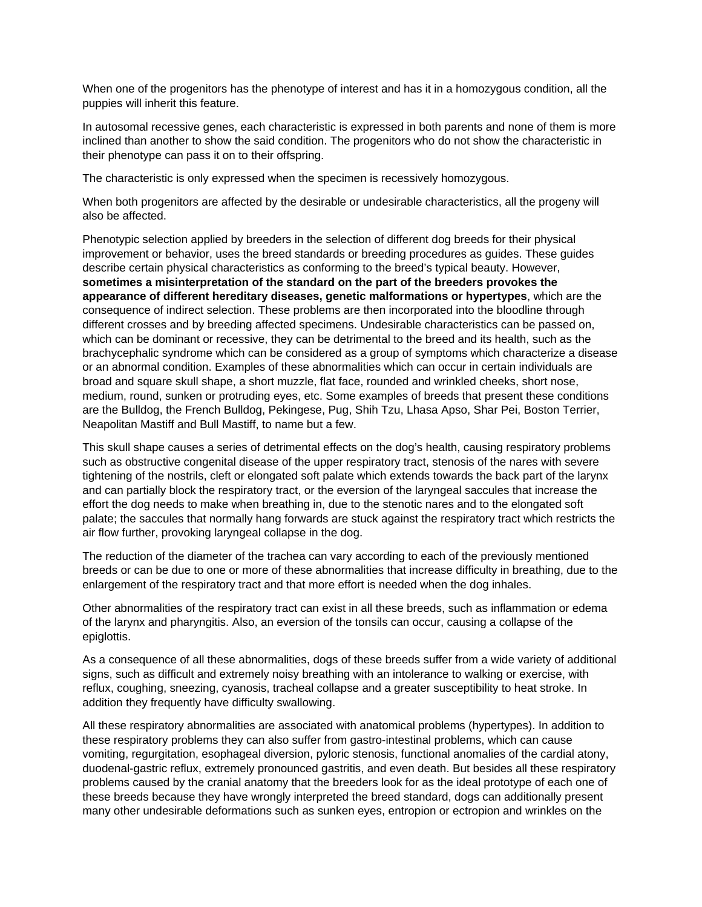When one of the progenitors has the phenotype of interest and has it in a homozygous condition, all the puppies will inherit this feature.

In autosomal recessive genes, each characteristic is expressed in both parents and none of them is more inclined than another to show the said condition. The progenitors who do not show the characteristic in their phenotype can pass it on to their offspring.

The characteristic is only expressed when the specimen is recessively homozygous.

When both progenitors are affected by the desirable or undesirable characteristics, all the progeny will also be affected.

Phenotypic selection applied by breeders in the selection of different dog breeds for their physical improvement or behavior, uses the breed standards or breeding procedures as guides. These guides describe certain physical characteristics as conforming to the breed's typical beauty. However, **sometimes a misinterpretation of the standard on the part of the breeders provokes the appearance of different hereditary diseases, genetic malformations or hypertypes**, which are the consequence of indirect selection. These problems are then incorporated into the bloodline through different crosses and by breeding affected specimens. Undesirable characteristics can be passed on, which can be dominant or recessive, they can be detrimental to the breed and its health, such as the brachycephalic syndrome which can be considered as a group of symptoms which characterize a disease or an abnormal condition. Examples of these abnormalities which can occur in certain individuals are broad and square skull shape, a short muzzle, flat face, rounded and wrinkled cheeks, short nose, medium, round, sunken or protruding eyes, etc. Some examples of breeds that present these conditions are the Bulldog, the French Bulldog, Pekingese, Pug, Shih Tzu, Lhasa Apso, Shar Pei, Boston Terrier, Neapolitan Mastiff and Bull Mastiff, to name but a few.

This skull shape causes a series of detrimental effects on the dog's health, causing respiratory problems such as obstructive congenital disease of the upper respiratory tract, stenosis of the nares with severe tightening of the nostrils, cleft or elongated soft palate which extends towards the back part of the larynx and can partially block the respiratory tract, or the eversion of the laryngeal saccules that increase the effort the dog needs to make when breathing in, due to the stenotic nares and to the elongated soft palate; the saccules that normally hang forwards are stuck against the respiratory tract which restricts the air flow further, provoking laryngeal collapse in the dog.

The reduction of the diameter of the trachea can vary according to each of the previously mentioned breeds or can be due to one or more of these abnormalities that increase difficulty in breathing, due to the enlargement of the respiratory tract and that more effort is needed when the dog inhales.

Other abnormalities of the respiratory tract can exist in all these breeds, such as inflammation or edema of the larynx and pharyngitis. Also, an eversion of the tonsils can occur, causing a collapse of the epiglottis.

As a consequence of all these abnormalities, dogs of these breeds suffer from a wide variety of additional signs, such as difficult and extremely noisy breathing with an intolerance to walking or exercise, with reflux, coughing, sneezing, cyanosis, tracheal collapse and a greater susceptibility to heat stroke. In addition they frequently have difficulty swallowing.

All these respiratory abnormalities are associated with anatomical problems (hypertypes). In addition to these respiratory problems they can also suffer from gastro-intestinal problems, which can cause vomiting, regurgitation, esophageal diversion, pyloric stenosis, functional anomalies of the cardial atony, duodenal-gastric reflux, extremely pronounced gastritis, and even death. But besides all these respiratory problems caused by the cranial anatomy that the breeders look for as the ideal prototype of each one of these breeds because they have wrongly interpreted the breed standard, dogs can additionally present many other undesirable deformations such as sunken eyes, entropion or ectropion and wrinkles on the